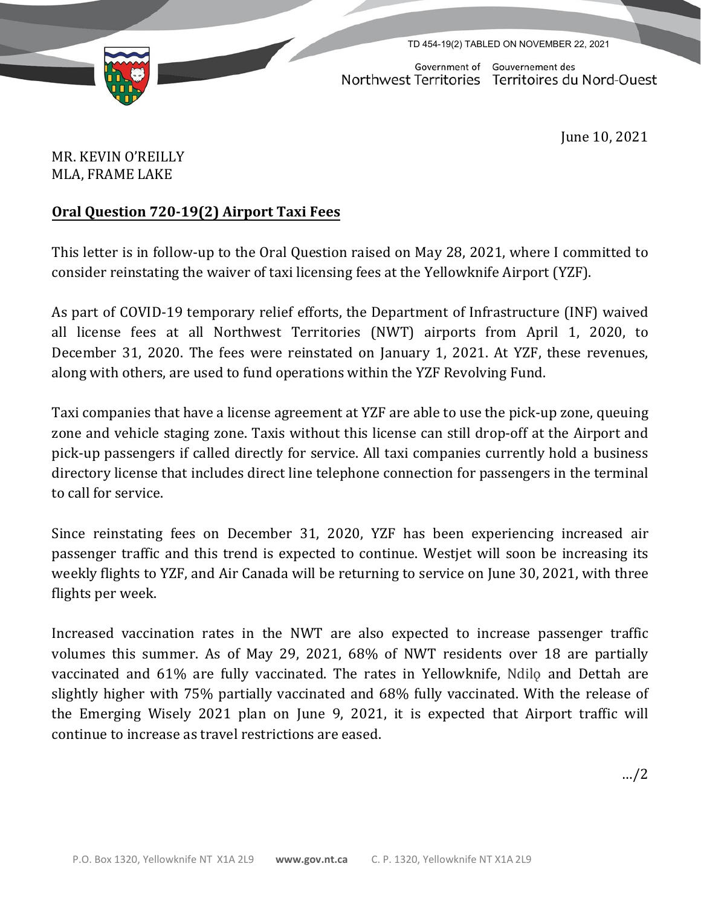

TD 454-19(2) TABLED ON NOVEMBER 22, 2021

Government of Gouvernement des Northwest Territories Territoires du Nord-Ouest

June 10, 2021

MR. KEVIN O'REILLY MLA, FRAME LAKE

## **Oral Question 720-19(2) Airport Taxi Fees**

This letter is in follow-up to the Oral Question raised on May 28, 2021, where I committed to consider reinstating the waiver of taxi licensing fees at the Yellowknife Airport (YZF).

As part of COVID-19 temporary relief efforts, the Department of Infrastructure (INF) waived all license fees at all Northwest Territories (NWT) airports from April 1, 2020, to December 31, 2020. The fees were reinstated on January 1, 2021. At YZF, these revenues, along with others, are used to fund operations within the YZF Revolving Fund.

Taxi companies that have a license agreement at YZF are able to use the pick-up zone, queuing zone and vehicle staging zone. Taxis without this license can still drop-off at the Airport and pick-up passengers if called directly for service. All taxi companies currently hold a business directory license that includes direct line telephone connection for passengers in the terminal to call for service.

Since reinstating fees on December 31, 2020, YZF has been experiencing increased air passenger traffic and this trend is expected to continue. Westjet will soon be increasing its weekly flights to YZF, and Air Canada will be returning to service on June 30, 2021, with three flights per week.

Increased vaccination rates in the NWT are also expected to increase passenger traffic volumes this summer. As of May 29, 2021, 68% of NWT residents over 18 are partially vaccinated and 61% are fully vaccinated. The rates in Yellowknife, Ndilo and Dettah are slightly higher with 75% partially vaccinated and 68% fully vaccinated. With the release of the Emerging Wisely 2021 plan on June 9, 2021, it is expected that Airport traffic will continue to increase as travel restrictions are eased.

…/2